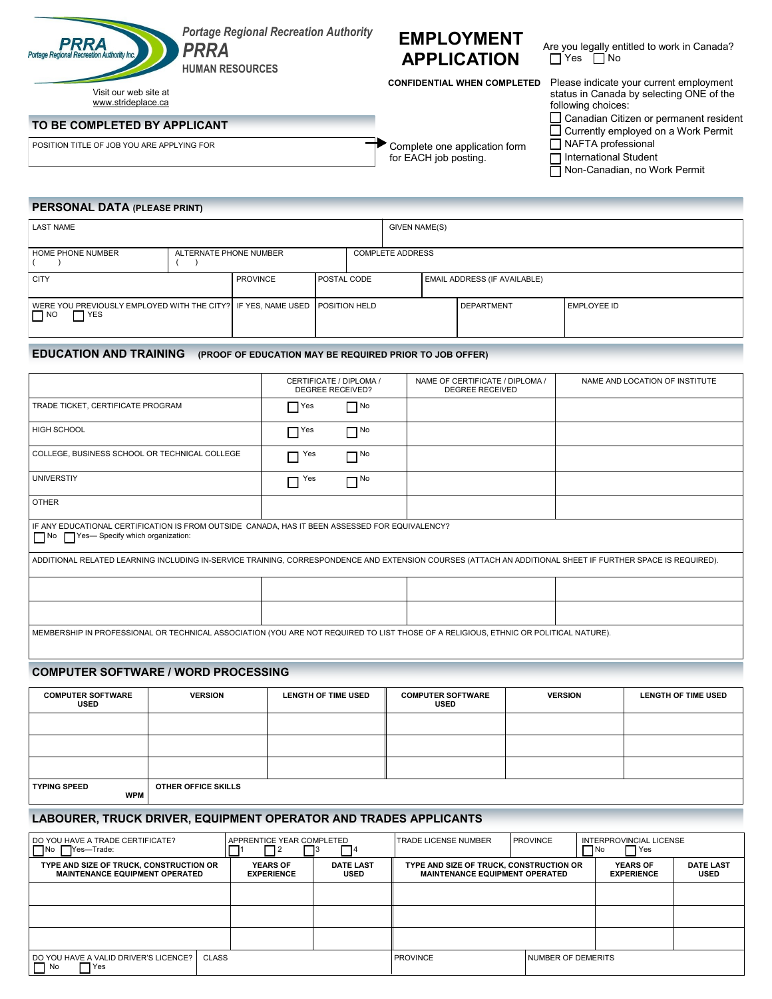

POSITION TITLE OF JOB YOU ARE APPLYING FOR COMPLETE OF SOLUTION TITLE OF JOB YOU ARE APPLYING FOR

# **EMPLOYMENT APPLICATION**

Are you legally entitled to work in Canada? Yes  $\Box$  No

**CONFIDENTIAL WHEN COMPLETED**

for EACH job posting.

| Please indicate your current employment  |
|------------------------------------------|
| status in Canada by selecting ONE of the |
| following choices:                       |

Canadian Citizen or permanent resident

Currently employed on a Work Permit

NAFTA professional

International Student Non-Canadian, no Work Permit

#### **PERSONAL DATA (PLEASE PRINT)**

| <b>LAST NAME</b>                                                                                        |                 |                        |  |                                     | GIVEN NAME(S) |                         |             |  |  |
|---------------------------------------------------------------------------------------------------------|-----------------|------------------------|--|-------------------------------------|---------------|-------------------------|-------------|--|--|
|                                                                                                         |                 |                        |  |                                     |               |                         |             |  |  |
| HOME PHONE NUMBER                                                                                       |                 | ALTERNATE PHONE NUMBER |  |                                     |               | <b>COMPLETE ADDRESS</b> |             |  |  |
| <b>CITY</b>                                                                                             | <b>PROVINCE</b> | <b>IPOSTAL CODE</b>    |  | <b>EMAIL ADDRESS (IF AVAILABLE)</b> |               |                         |             |  |  |
| WERE YOU PREVIOUSLY EMPLOYED WITH THE CITY? IF YES, NAME USED TPOSITION HELD<br>$\Box$ YES<br>$\Box$ NO |                 |                        |  |                                     |               | <b>DEPARTMENT</b>       | EMPLOYEE ID |  |  |

## **EDUCATION AND TRAINING (PROOF OF EDUCATION MAY BE REQUIRED PRIOR TO JOB OFFER)**

|                                                                                                                                                            | CERTIFICATE / DIPLOMA /<br><b>DEGREE RECEIVED?</b> |           | NAME OF CERTIFICATE / DIPLOMA /<br><b>DEGREE RECEIVED</b> | NAME AND LOCATION OF INSTITUTE |  |  |  |  |
|------------------------------------------------------------------------------------------------------------------------------------------------------------|----------------------------------------------------|-----------|-----------------------------------------------------------|--------------------------------|--|--|--|--|
| TRADE TICKET, CERTIFICATE PROGRAM                                                                                                                          | $\Gamma$ Yes                                       | $\Box$ No |                                                           |                                |  |  |  |  |
| <b>HIGH SCHOOL</b>                                                                                                                                         | $\Gamma$ Yes                                       | $\Box$ No |                                                           |                                |  |  |  |  |
| COLLEGE, BUSINESS SCHOOL OR TECHNICAL COLLEGE                                                                                                              | $\Box$ Yes                                         | $\Box$ No |                                                           |                                |  |  |  |  |
| <b>UNIVERSTIY</b>                                                                                                                                          | $\Box$ Yes                                         | $\Box$ No |                                                           |                                |  |  |  |  |
| <b>OTHER</b>                                                                                                                                               |                                                    |           |                                                           |                                |  |  |  |  |
| IF ANY EDUCATIONAL CERTIFICATION IS FROM OUTSIDE CANADA, HAS IT BEEN ASSESSED FOR EQUIVALENCY?<br>No Yes-Specify which organization:                       |                                                    |           |                                                           |                                |  |  |  |  |
| ADDITIONAL RELATED LEARNING INCLUDING IN-SERVICE TRAINING, CORRESPONDENCE AND EXTENSION COURSES (ATTACH AN ADDITIONAL SHEET IF FURTHER SPACE IS REQUIRED). |                                                    |           |                                                           |                                |  |  |  |  |
|                                                                                                                                                            |                                                    |           |                                                           |                                |  |  |  |  |
|                                                                                                                                                            |                                                    |           |                                                           |                                |  |  |  |  |
| MEMBERSHIP IN PROFESSIONAL OR TECHNICAL ASSOCIATION (YOU ARE NOT REQUIRED TO LIST THOSE OF A RELIGIOUS, ETHNIC OR POLITICAL NATURE).                       |                                                    |           |                                                           |                                |  |  |  |  |

### **COMPUTER SOFTWARE / WORD PROCESSING**

| <b>COMPUTER SOFTWARE</b><br><b>USED</b> | <b>VERSION</b>      | <b>LENGTH OF TIME USED</b> | <b>COMPUTER SOFTWARE</b><br><b>USED</b> | <b>VERSION</b> | LENGTH OF TIME USED |
|-----------------------------------------|---------------------|----------------------------|-----------------------------------------|----------------|---------------------|
|                                         |                     |                            |                                         |                |                     |
|                                         |                     |                            |                                         |                |                     |
|                                         |                     |                            |                                         |                |                     |
| <b>TYPING SPEED</b><br><b>WPM</b>       | OTHER OFFICE SKILLS |                            |                                         |                |                     |

## **LABOURER, TRUCK DRIVER, EQUIPMENT OPERATOR AND TRADES APPLICANTS**

| DO YOU HAVE A TRADE CERTIFICATE?<br>Yes-Trade:<br>$\Box$ No                      | APPRENTICE YEAR COMPLETED            |                                 | <b>TRADE LICENSE NUMBER</b>                                                      | <b>PROVINCE</b>           | INTERPROVINCIAL LICENSE<br>7 Yes<br>$\Box$ No |                                 |
|----------------------------------------------------------------------------------|--------------------------------------|---------------------------------|----------------------------------------------------------------------------------|---------------------------|-----------------------------------------------|---------------------------------|
| TYPE AND SIZE OF TRUCK, CONSTRUCTION OR<br><b>MAINTENANCE EQUIPMENT OPERATED</b> | <b>YEARS OF</b><br><b>EXPERIENCE</b> | <b>DATE LAST</b><br><b>USED</b> | TYPE AND SIZE OF TRUCK, CONSTRUCTION OR<br><b>MAINTENANCE EQUIPMENT OPERATED</b> |                           | <b>YEARS OF</b><br><b>EXPERIENCE</b>          | <b>DATE LAST</b><br><b>USED</b> |
|                                                                                  |                                      |                                 |                                                                                  |                           |                                               |                                 |
|                                                                                  |                                      |                                 |                                                                                  |                           |                                               |                                 |
|                                                                                  |                                      |                                 |                                                                                  |                           |                                               |                                 |
| CLASS<br>DO YOU HAVE A VALID DRIVER'S LICENCE?<br>ヿ Yes<br>$\Box$ No             |                                      |                                 | <b>PROVINCE</b>                                                                  | <b>NUMBER OF DEMERITS</b> |                                               |                                 |



Visit our web site at www.strideplace.ca **TO BE COMPLETED BY APPLICANT**